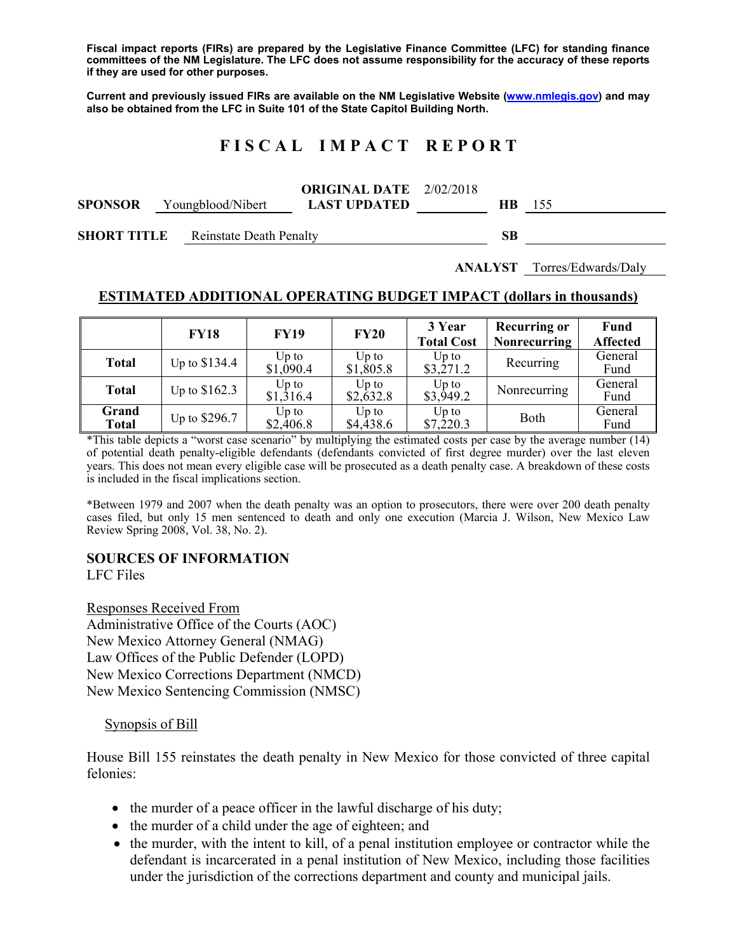**Fiscal impact reports (FIRs) are prepared by the Legislative Finance Committee (LFC) for standing finance committees of the NM Legislature. The LFC does not assume responsibility for the accuracy of these reports if they are used for other purposes.** 

**Current and previously issued FIRs are available on the NM Legislative Website (www.nmlegis.gov) and may also be obtained from the LFC in Suite 101 of the State Capitol Building North.** 

# **F I S C A L I M P A C T R E P O R T**

|                |                   | <b>ORIGINAL DATE</b> $2/02/2018$ |               |  |
|----------------|-------------------|----------------------------------|---------------|--|
| <b>SPONSOR</b> | Youngblood/Nibert | <b>LAST UPDATED</b>              | <b>HB</b> 155 |  |
|                |                   |                                  |               |  |

**SHORT TITLE** Reinstate Death Penalty **SB** 

**ANALYST** Torres/Edwards/Daly

#### **ESTIMATED ADDITIONAL OPERATING BUDGET IMPACT (dollars in thousands)**

|                       | <b>FY18</b>    | <b>FY19</b>          | <b>FY20</b>                 | 3 Year<br><b>Total Cost</b> | <b>Recurring or</b><br><b>Nonrecurring</b> | Fund<br><b>Affected</b> |
|-----------------------|----------------|----------------------|-----------------------------|-----------------------------|--------------------------------------------|-------------------------|
| <b>Total</b>          | Up to \$134.4  | $Up$ to<br>\$1,090.4 | $Up$ to<br>$$1,\!805.8$     | $Up$ to<br>\$3,271.2        | Recurring                                  | General<br>Fund         |
| <b>Total</b>          | Up to $$162.3$ | Up to<br>\$1,316.4   | $Up$ to<br>$$2,\dot{6}32.8$ | $Up$ to<br>\$3,949.2        | Nonrecurring                               | General<br>Fund         |
| Grand<br><b>Total</b> | Up to \$296.7  | Up to<br>\$2,406.8   | $Up$ to<br>\$4,438.6        | $Up$ to<br>\$7,220.3        | Both                                       | General<br>Fund         |

\*This table depicts a "worst case scenario" by multiplying the estimated costs per case by the average number (14) of potential death penalty-eligible defendants (defendants convicted of first degree murder) over the last eleven years. This does not mean every eligible case will be prosecuted as a death penalty case. A breakdown of these costs is included in the fiscal implications section.

\*Between 1979 and 2007 when the death penalty was an option to prosecutors, there were over 200 death penalty cases filed, but only 15 men sentenced to death and only one execution (Marcia J. Wilson, New Mexico Law Review Spring 2008, Vol. 38, No. 2).

## **SOURCES OF INFORMATION**

LFC Files

Responses Received From Administrative Office of the Courts (AOC) New Mexico Attorney General (NMAG) Law Offices of the Public Defender (LOPD) New Mexico Corrections Department (NMCD) New Mexico Sentencing Commission (NMSC)

#### Synopsis of Bill

House Bill 155 reinstates the death penalty in New Mexico for those convicted of three capital felonies:

- the murder of a peace officer in the lawful discharge of his duty;
- the murder of a child under the age of eighteen; and
- the murder, with the intent to kill, of a penal institution employee or contractor while the defendant is incarcerated in a penal institution of New Mexico, including those facilities under the jurisdiction of the corrections department and county and municipal jails.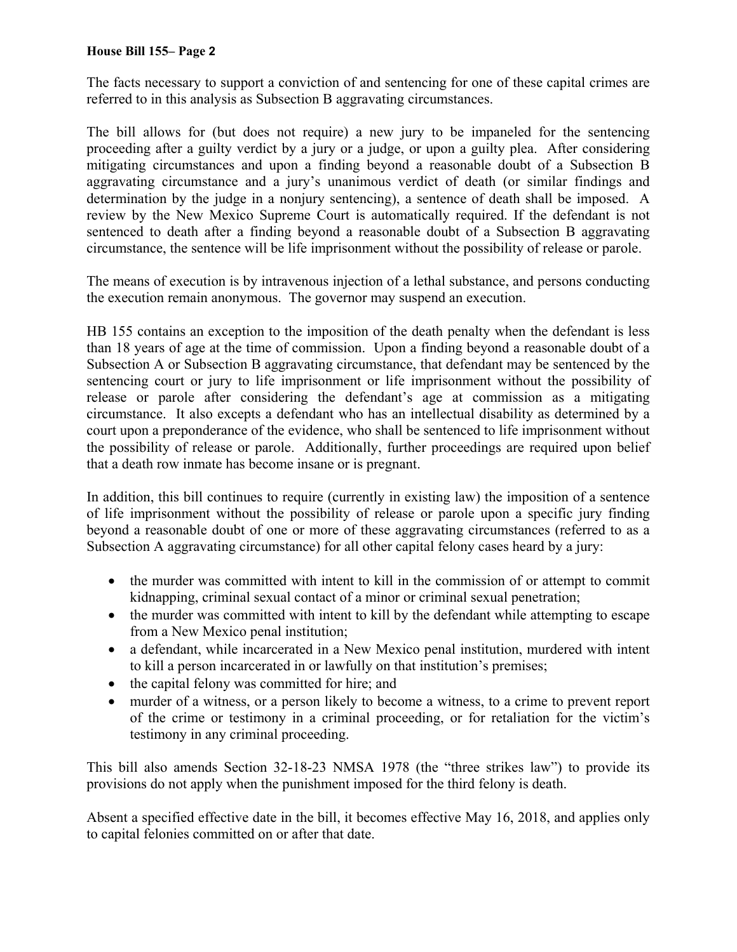#### **House Bill 155– Page 2**

The facts necessary to support a conviction of and sentencing for one of these capital crimes are referred to in this analysis as Subsection B aggravating circumstances.

The bill allows for (but does not require) a new jury to be impaneled for the sentencing proceeding after a guilty verdict by a jury or a judge, or upon a guilty plea. After considering mitigating circumstances and upon a finding beyond a reasonable doubt of a Subsection B aggravating circumstance and a jury's unanimous verdict of death (or similar findings and determination by the judge in a nonjury sentencing), a sentence of death shall be imposed. A review by the New Mexico Supreme Court is automatically required. If the defendant is not sentenced to death after a finding beyond a reasonable doubt of a Subsection B aggravating circumstance, the sentence will be life imprisonment without the possibility of release or parole.

The means of execution is by intravenous injection of a lethal substance, and persons conducting the execution remain anonymous. The governor may suspend an execution.

HB 155 contains an exception to the imposition of the death penalty when the defendant is less than 18 years of age at the time of commission. Upon a finding beyond a reasonable doubt of a Subsection A or Subsection B aggravating circumstance, that defendant may be sentenced by the sentencing court or jury to life imprisonment or life imprisonment without the possibility of release or parole after considering the defendant's age at commission as a mitigating circumstance. It also excepts a defendant who has an intellectual disability as determined by a court upon a preponderance of the evidence, who shall be sentenced to life imprisonment without the possibility of release or parole. Additionally, further proceedings are required upon belief that a death row inmate has become insane or is pregnant.

In addition, this bill continues to require (currently in existing law) the imposition of a sentence of life imprisonment without the possibility of release or parole upon a specific jury finding beyond a reasonable doubt of one or more of these aggravating circumstances (referred to as a Subsection A aggravating circumstance) for all other capital felony cases heard by a jury:

- the murder was committed with intent to kill in the commission of or attempt to commit kidnapping, criminal sexual contact of a minor or criminal sexual penetration;
- the murder was committed with intent to kill by the defendant while attempting to escape from a New Mexico penal institution;
- a defendant, while incarcerated in a New Mexico penal institution, murdered with intent to kill a person incarcerated in or lawfully on that institution's premises;
- the capital felony was committed for hire; and
- murder of a witness, or a person likely to become a witness, to a crime to prevent report of the crime or testimony in a criminal proceeding, or for retaliation for the victim's testimony in any criminal proceeding.

This bill also amends Section 32-18-23 NMSA 1978 (the "three strikes law") to provide its provisions do not apply when the punishment imposed for the third felony is death.

Absent a specified effective date in the bill, it becomes effective May 16, 2018, and applies only to capital felonies committed on or after that date.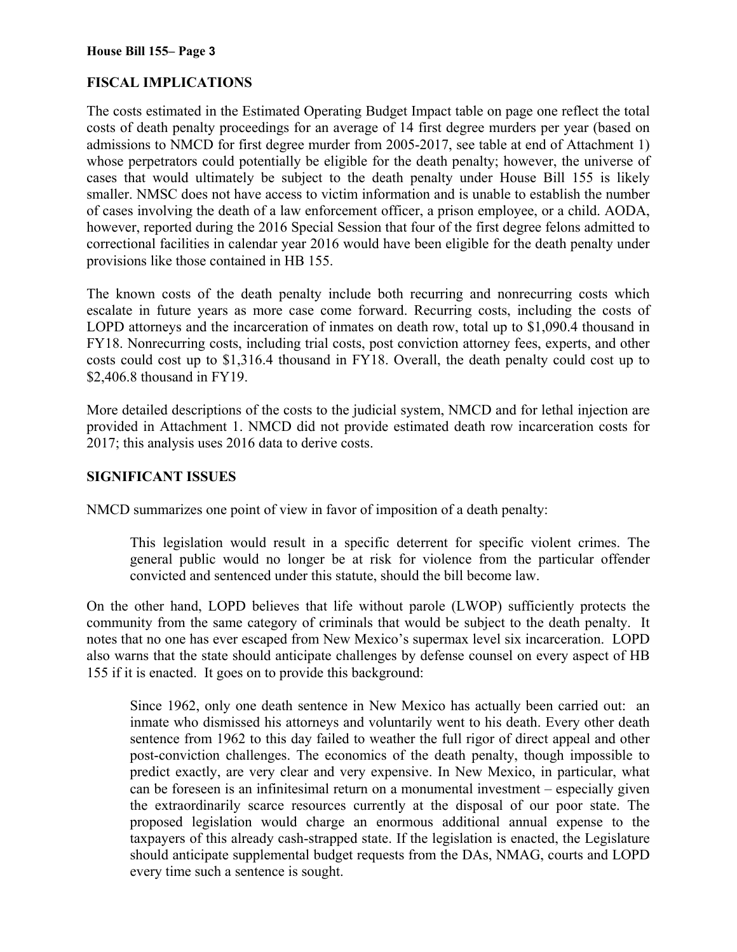# **FISCAL IMPLICATIONS**

The costs estimated in the Estimated Operating Budget Impact table on page one reflect the total costs of death penalty proceedings for an average of 14 first degree murders per year (based on admissions to NMCD for first degree murder from 2005-2017, see table at end of Attachment 1) whose perpetrators could potentially be eligible for the death penalty; however, the universe of cases that would ultimately be subject to the death penalty under House Bill 155 is likely smaller. NMSC does not have access to victim information and is unable to establish the number of cases involving the death of a law enforcement officer, a prison employee, or a child. AODA, however, reported during the 2016 Special Session that four of the first degree felons admitted to correctional facilities in calendar year 2016 would have been eligible for the death penalty under provisions like those contained in HB 155.

The known costs of the death penalty include both recurring and nonrecurring costs which escalate in future years as more case come forward. Recurring costs, including the costs of LOPD attorneys and the incarceration of inmates on death row, total up to \$1,090.4 thousand in FY18. Nonrecurring costs, including trial costs, post conviction attorney fees, experts, and other costs could cost up to \$1,316.4 thousand in FY18. Overall, the death penalty could cost up to \$2,406.8 thousand in FY19.

More detailed descriptions of the costs to the judicial system, NMCD and for lethal injection are provided in Attachment 1. NMCD did not provide estimated death row incarceration costs for 2017; this analysis uses 2016 data to derive costs.

### **SIGNIFICANT ISSUES**

NMCD summarizes one point of view in favor of imposition of a death penalty:

This legislation would result in a specific deterrent for specific violent crimes. The general public would no longer be at risk for violence from the particular offender convicted and sentenced under this statute, should the bill become law.

On the other hand, LOPD believes that life without parole (LWOP) sufficiently protects the community from the same category of criminals that would be subject to the death penalty. It notes that no one has ever escaped from New Mexico's supermax level six incarceration. LOPD also warns that the state should anticipate challenges by defense counsel on every aspect of HB 155 if it is enacted. It goes on to provide this background:

Since 1962, only one death sentence in New Mexico has actually been carried out: an inmate who dismissed his attorneys and voluntarily went to his death. Every other death sentence from 1962 to this day failed to weather the full rigor of direct appeal and other post-conviction challenges. The economics of the death penalty, though impossible to predict exactly, are very clear and very expensive. In New Mexico, in particular, what can be foreseen is an infinitesimal return on a monumental investment – especially given the extraordinarily scarce resources currently at the disposal of our poor state. The proposed legislation would charge an enormous additional annual expense to the taxpayers of this already cash-strapped state. If the legislation is enacted, the Legislature should anticipate supplemental budget requests from the DAs, NMAG, courts and LOPD every time such a sentence is sought.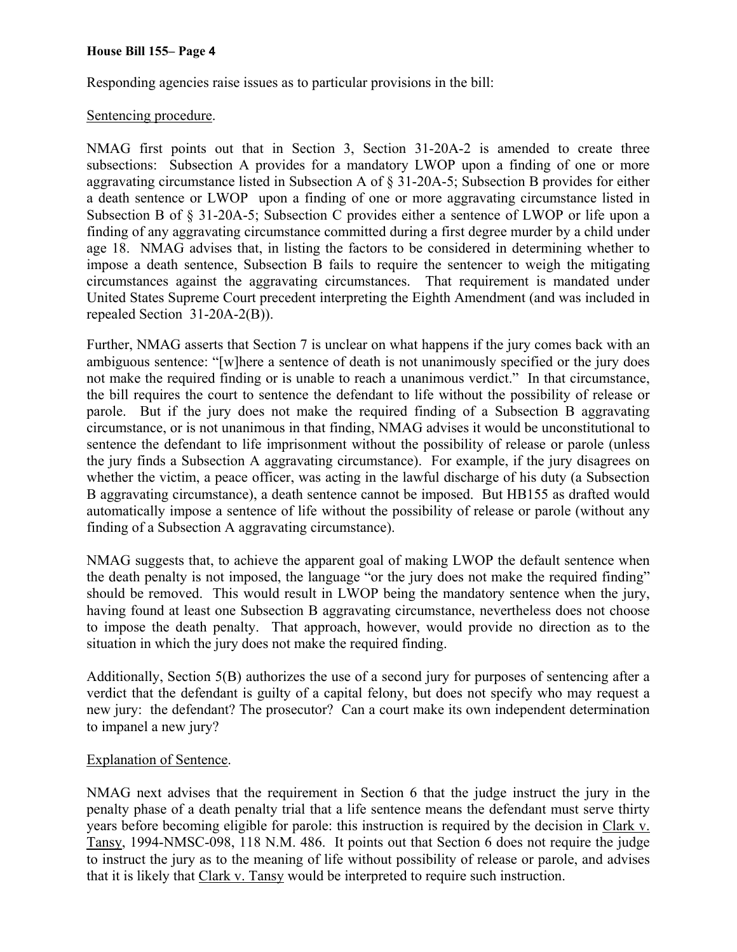#### **House Bill 155– Page 4**

Responding agencies raise issues as to particular provisions in the bill:

#### Sentencing procedure.

NMAG first points out that in Section 3, Section 31-20A-2 is amended to create three subsections: Subsection A provides for a mandatory LWOP upon a finding of one or more aggravating circumstance listed in Subsection A of § 31-20A-5; Subsection B provides for either a death sentence or LWOP upon a finding of one or more aggravating circumstance listed in Subsection B of § 31-20A-5; Subsection C provides either a sentence of LWOP or life upon a finding of any aggravating circumstance committed during a first degree murder by a child under age 18. NMAG advises that, in listing the factors to be considered in determining whether to impose a death sentence, Subsection B fails to require the sentencer to weigh the mitigating circumstances against the aggravating circumstances. That requirement is mandated under United States Supreme Court precedent interpreting the Eighth Amendment (and was included in repealed Section 31-20A-2(B)).

Further, NMAG asserts that Section 7 is unclear on what happens if the jury comes back with an ambiguous sentence: "[w]here a sentence of death is not unanimously specified or the jury does not make the required finding or is unable to reach a unanimous verdict." In that circumstance, the bill requires the court to sentence the defendant to life without the possibility of release or parole. But if the jury does not make the required finding of a Subsection B aggravating circumstance, or is not unanimous in that finding, NMAG advises it would be unconstitutional to sentence the defendant to life imprisonment without the possibility of release or parole (unless the jury finds a Subsection A aggravating circumstance). For example, if the jury disagrees on whether the victim, a peace officer, was acting in the lawful discharge of his duty (a Subsection B aggravating circumstance), a death sentence cannot be imposed. But HB155 as drafted would automatically impose a sentence of life without the possibility of release or parole (without any finding of a Subsection A aggravating circumstance).

NMAG suggests that, to achieve the apparent goal of making LWOP the default sentence when the death penalty is not imposed, the language "or the jury does not make the required finding" should be removed. This would result in LWOP being the mandatory sentence when the jury, having found at least one Subsection B aggravating circumstance, nevertheless does not choose to impose the death penalty. That approach, however, would provide no direction as to the situation in which the jury does not make the required finding.

Additionally, Section 5(B) authorizes the use of a second jury for purposes of sentencing after a verdict that the defendant is guilty of a capital felony, but does not specify who may request a new jury: the defendant? The prosecutor? Can a court make its own independent determination to impanel a new jury?

#### Explanation of Sentence.

NMAG next advises that the requirement in Section 6 that the judge instruct the jury in the penalty phase of a death penalty trial that a life sentence means the defendant must serve thirty years before becoming eligible for parole: this instruction is required by the decision in Clark v. Tansy, 1994-NMSC-098, 118 N.M. 486. It points out that Section 6 does not require the judge to instruct the jury as to the meaning of life without possibility of release or parole, and advises that it is likely that Clark v. Tansy would be interpreted to require such instruction.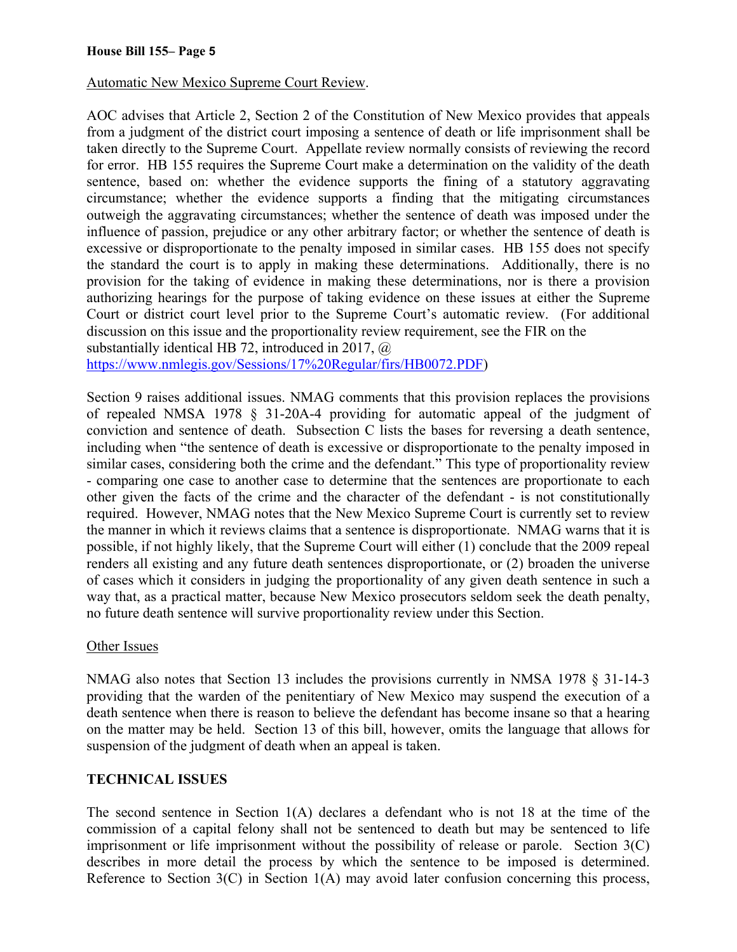Automatic New Mexico Supreme Court Review.

AOC advises that Article 2, Section 2 of the Constitution of New Mexico provides that appeals from a judgment of the district court imposing a sentence of death or life imprisonment shall be taken directly to the Supreme Court. Appellate review normally consists of reviewing the record for error. HB 155 requires the Supreme Court make a determination on the validity of the death sentence, based on: whether the evidence supports the fining of a statutory aggravating circumstance; whether the evidence supports a finding that the mitigating circumstances outweigh the aggravating circumstances; whether the sentence of death was imposed under the influence of passion, prejudice or any other arbitrary factor; or whether the sentence of death is excessive or disproportionate to the penalty imposed in similar cases. HB 155 does not specify the standard the court is to apply in making these determinations. Additionally, there is no provision for the taking of evidence in making these determinations, nor is there a provision authorizing hearings for the purpose of taking evidence on these issues at either the Supreme Court or district court level prior to the Supreme Court's automatic review. (For additional discussion on this issue and the proportionality review requirement, see the FIR on the substantially identical HB 72, introduced in 2017,  $\omega$ 

https://www.nmlegis.gov/Sessions/17%20Regular/firs/HB0072.PDF)

Section 9 raises additional issues. NMAG comments that this provision replaces the provisions of repealed NMSA 1978 § 31-20A-4 providing for automatic appeal of the judgment of conviction and sentence of death. Subsection C lists the bases for reversing a death sentence, including when "the sentence of death is excessive or disproportionate to the penalty imposed in similar cases, considering both the crime and the defendant." This type of proportionality review - comparing one case to another case to determine that the sentences are proportionate to each other given the facts of the crime and the character of the defendant - is not constitutionally required. However, NMAG notes that the New Mexico Supreme Court is currently set to review the manner in which it reviews claims that a sentence is disproportionate. NMAG warns that it is possible, if not highly likely, that the Supreme Court will either (1) conclude that the 2009 repeal renders all existing and any future death sentences disproportionate, or (2) broaden the universe of cases which it considers in judging the proportionality of any given death sentence in such a way that, as a practical matter, because New Mexico prosecutors seldom seek the death penalty, no future death sentence will survive proportionality review under this Section.

## Other Issues

NMAG also notes that Section 13 includes the provisions currently in NMSA 1978 § 31-14-3 providing that the warden of the penitentiary of New Mexico may suspend the execution of a death sentence when there is reason to believe the defendant has become insane so that a hearing on the matter may be held. Section 13 of this bill, however, omits the language that allows for suspension of the judgment of death when an appeal is taken.

## **TECHNICAL ISSUES**

The second sentence in Section 1(A) declares a defendant who is not 18 at the time of the commission of a capital felony shall not be sentenced to death but may be sentenced to life imprisonment or life imprisonment without the possibility of release or parole. Section 3(C) describes in more detail the process by which the sentence to be imposed is determined. Reference to Section 3(C) in Section 1(A) may avoid later confusion concerning this process,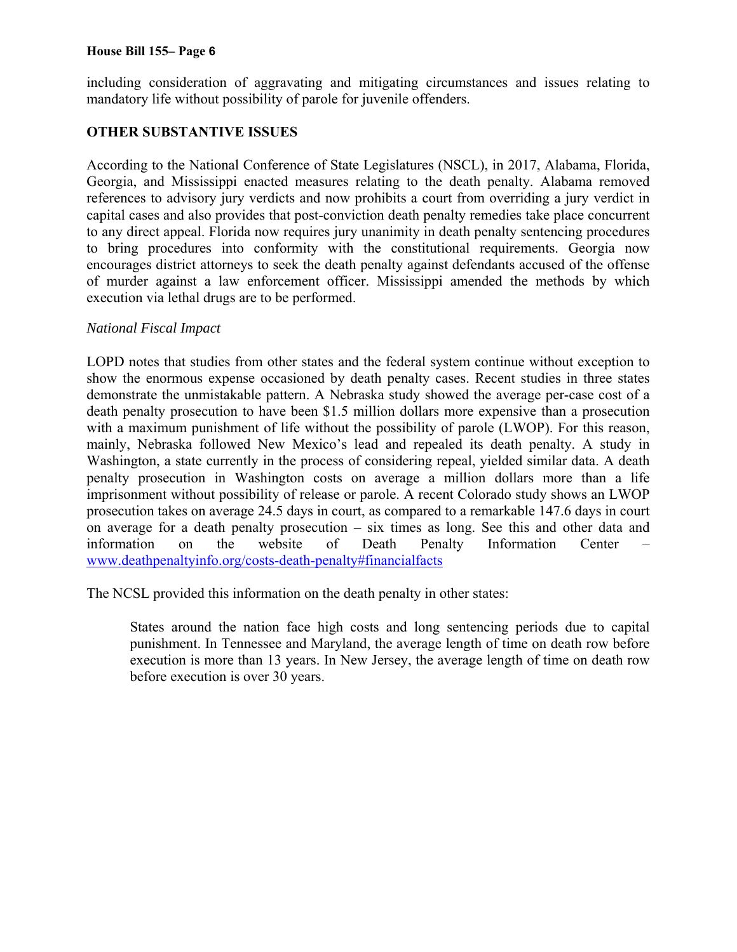#### **House Bill 155– Page 6**

including consideration of aggravating and mitigating circumstances and issues relating to mandatory life without possibility of parole for juvenile offenders.

## **OTHER SUBSTANTIVE ISSUES**

According to the National Conference of State Legislatures (NSCL), in 2017, Alabama, Florida, Georgia, and Mississippi enacted measures relating to the death penalty. Alabama removed references to advisory jury verdicts and now prohibits a court from overriding a jury verdict in capital cases and also provides that post-conviction death penalty remedies take place concurrent to any direct appeal. Florida now requires jury unanimity in death penalty sentencing procedures to bring procedures into conformity with the constitutional requirements. Georgia now encourages district attorneys to seek the death penalty against defendants accused of the offense of murder against a law enforcement officer. Mississippi amended the methods by which execution via lethal drugs are to be performed.

#### *National Fiscal Impact*

LOPD notes that studies from other states and the federal system continue without exception to show the enormous expense occasioned by death penalty cases. Recent studies in three states demonstrate the unmistakable pattern. A Nebraska study showed the average per-case cost of a death penalty prosecution to have been \$1.5 million dollars more expensive than a prosecution with a maximum punishment of life without the possibility of parole (LWOP). For this reason, mainly, Nebraska followed New Mexico's lead and repealed its death penalty. A study in Washington, a state currently in the process of considering repeal, yielded similar data. A death penalty prosecution in Washington costs on average a million dollars more than a life imprisonment without possibility of release or parole. A recent Colorado study shows an LWOP prosecution takes on average 24.5 days in court, as compared to a remarkable 147.6 days in court on average for a death penalty prosecution – six times as long. See this and other data and information on the website of Death Penalty Information Center – www.deathpenaltyinfo.org/costs-death-penalty#financialfacts

The NCSL provided this information on the death penalty in other states:

States around the nation face high costs and long sentencing periods due to capital punishment. In Tennessee and Maryland, the average length of time on death row before execution is more than 13 years. In New Jersey, the average length of time on death row before execution is over 30 years.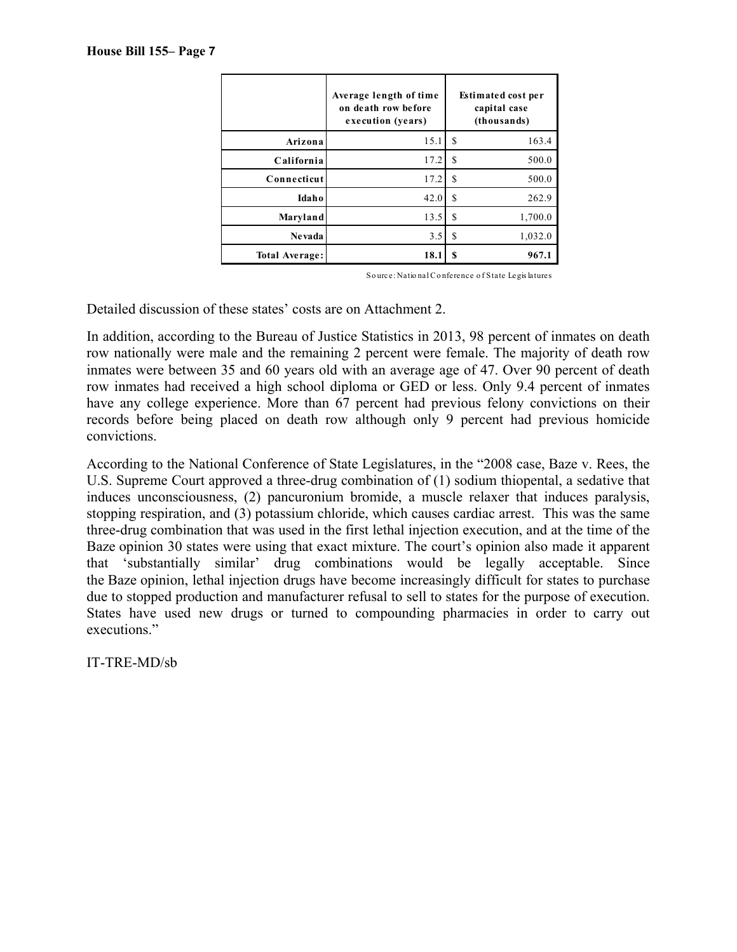|                | Average length of time<br>on death row before<br>execution (years) | <b>Estimated cost per</b><br>capital case<br>(thousands) |  |
|----------------|--------------------------------------------------------------------|----------------------------------------------------------|--|
| Arizona        | 15.1                                                               | 163.4<br>S                                               |  |
| California     | 17.2                                                               | S<br>500.0                                               |  |
| Connecticut    | 17.2                                                               | S<br>500.0                                               |  |
| Idaho          | 42.0                                                               | S<br>262.9                                               |  |
| Maryland       | 13.5                                                               | S<br>1,700.0                                             |  |
| Nevada         | 3.5                                                                | 1,032.0<br>S                                             |  |
| Total Average: | 18.1                                                               | 967.1<br>S                                               |  |

So urce: Natio nal Co nference o f State Legis latures

Detailed discussion of these states' costs are on Attachment 2.

In addition, according to the Bureau of Justice Statistics in 2013, 98 percent of inmates on death row nationally were male and the remaining 2 percent were female. The majority of death row inmates were between 35 and 60 years old with an average age of 47. Over 90 percent of death row inmates had received a high school diploma or GED or less. Only 9.4 percent of inmates have any college experience. More than 67 percent had previous felony convictions on their records before being placed on death row although only 9 percent had previous homicide convictions.

According to the National Conference of State Legislatures, in the "2008 case, Baze v. Rees, the U.S. Supreme Court approved a three-drug combination of (1) sodium thiopental, a sedative that induces unconsciousness, (2) pancuronium bromide, a muscle relaxer that induces paralysis, stopping respiration, and (3) potassium chloride, which causes cardiac arrest. This was the same three-drug combination that was used in the first lethal injection execution, and at the time of the Baze opinion 30 states were using that exact mixture. The court's opinion also made it apparent that 'substantially similar' drug combinations would be legally acceptable. Since the Baze opinion, lethal injection drugs have become increasingly difficult for states to purchase due to stopped production and manufacturer refusal to sell to states for the purpose of execution. States have used new drugs or turned to compounding pharmacies in order to carry out executions."

IT-TRE-MD/sb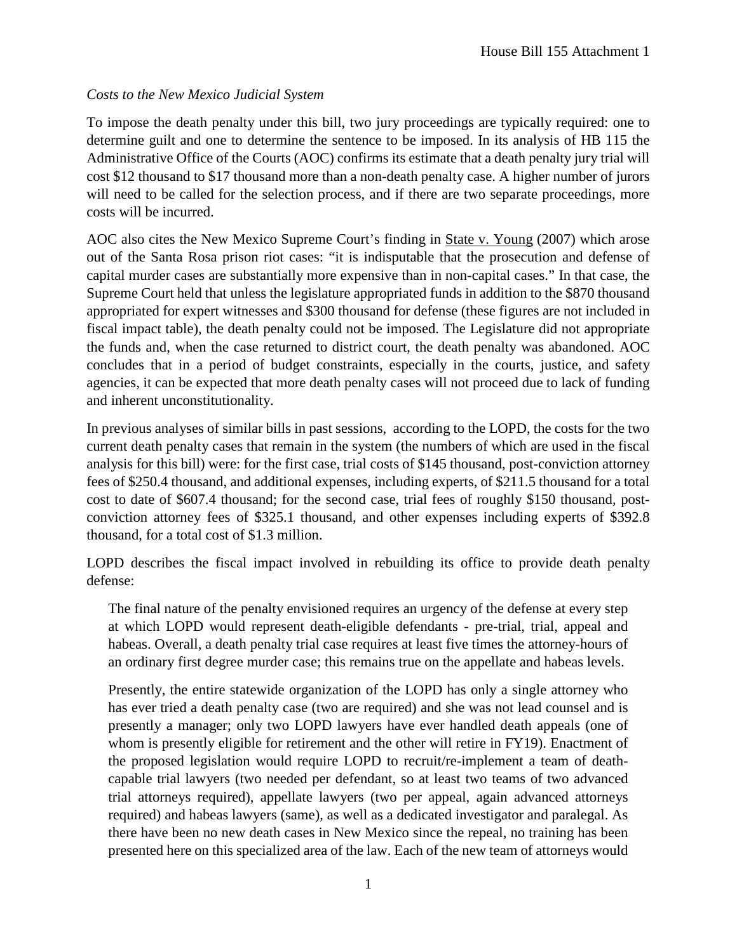# *Costs to the New Mexico Judicial System*

To impose the death penalty under this bill, two jury proceedings are typically required: one to determine guilt and one to determine the sentence to be imposed. In its analysis of HB 115 the Administrative Office of the Courts (AOC) confirms its estimate that a death penalty jury trial will cost \$12 thousand to \$17 thousand more than a non-death penalty case. A higher number of jurors will need to be called for the selection process, and if there are two separate proceedings, more costs will be incurred.

AOC also cites the New Mexico Supreme Court's finding in State v. Young (2007) which arose out of the Santa Rosa prison riot cases: "it is indisputable that the prosecution and defense of capital murder cases are substantially more expensive than in non-capital cases." In that case, the Supreme Court held that unless the legislature appropriated funds in addition to the \$870 thousand appropriated for expert witnesses and \$300 thousand for defense (these figures are not included in fiscal impact table), the death penalty could not be imposed. The Legislature did not appropriate the funds and, when the case returned to district court, the death penalty was abandoned. AOC concludes that in a period of budget constraints, especially in the courts, justice, and safety agencies, it can be expected that more death penalty cases will not proceed due to lack of funding and inherent unconstitutionality.

In previous analyses of similar bills in past sessions, according to the LOPD, the costs for the two current death penalty cases that remain in the system (the numbers of which are used in the fiscal analysis for this bill) were: for the first case, trial costs of \$145 thousand, post-conviction attorney fees of \$250.4 thousand, and additional expenses, including experts, of \$211.5 thousand for a total cost to date of \$607.4 thousand; for the second case, trial fees of roughly \$150 thousand, postconviction attorney fees of \$325.1 thousand, and other expenses including experts of \$392.8 thousand, for a total cost of \$1.3 million.

LOPD describes the fiscal impact involved in rebuilding its office to provide death penalty defense:

The final nature of the penalty envisioned requires an urgency of the defense at every step at which LOPD would represent death-eligible defendants - pre-trial, trial, appeal and habeas. Overall, a death penalty trial case requires at least five times the attorney-hours of an ordinary first degree murder case; this remains true on the appellate and habeas levels.

Presently, the entire statewide organization of the LOPD has only a single attorney who has ever tried a death penalty case (two are required) and she was not lead counsel and is presently a manager; only two LOPD lawyers have ever handled death appeals (one of whom is presently eligible for retirement and the other will retire in FY19). Enactment of the proposed legislation would require LOPD to recruit/re-implement a team of deathcapable trial lawyers (two needed per defendant, so at least two teams of two advanced trial attorneys required), appellate lawyers (two per appeal, again advanced attorneys required) and habeas lawyers (same), as well as a dedicated investigator and paralegal. As there have been no new death cases in New Mexico since the repeal, no training has been presented here on this specialized area of the law. Each of the new team of attorneys would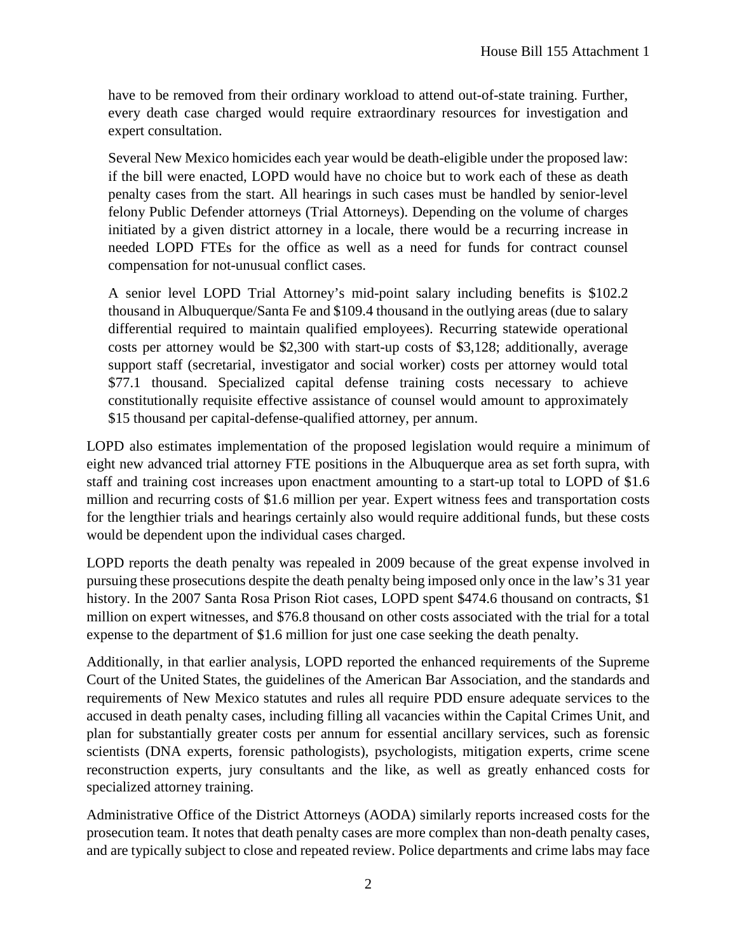have to be removed from their ordinary workload to attend out-of-state training. Further, every death case charged would require extraordinary resources for investigation and expert consultation.

Several New Mexico homicides each year would be death-eligible under the proposed law: if the bill were enacted, LOPD would have no choice but to work each of these as death penalty cases from the start. All hearings in such cases must be handled by senior-level felony Public Defender attorneys (Trial Attorneys). Depending on the volume of charges initiated by a given district attorney in a locale, there would be a recurring increase in needed LOPD FTEs for the office as well as a need for funds for contract counsel compensation for not-unusual conflict cases.

A senior level LOPD Trial Attorney's mid-point salary including benefits is \$102.2 thousand in Albuquerque/Santa Fe and \$109.4 thousand in the outlying areas (due to salary differential required to maintain qualified employees). Recurring statewide operational costs per attorney would be \$2,300 with start-up costs of \$3,128; additionally, average support staff (secretarial, investigator and social worker) costs per attorney would total \$77.1 thousand. Specialized capital defense training costs necessary to achieve constitutionally requisite effective assistance of counsel would amount to approximately \$15 thousand per capital-defense-qualified attorney, per annum.

LOPD also estimates implementation of the proposed legislation would require a minimum of eight new advanced trial attorney FTE positions in the Albuquerque area as set forth supra, with staff and training cost increases upon enactment amounting to a start-up total to LOPD of \$1.6 million and recurring costs of \$1.6 million per year. Expert witness fees and transportation costs for the lengthier trials and hearings certainly also would require additional funds, but these costs would be dependent upon the individual cases charged.

LOPD reports the death penalty was repealed in 2009 because of the great expense involved in pursuing these prosecutions despite the death penalty being imposed only once in the law's 31 year history. In the 2007 Santa Rosa Prison Riot cases, LOPD spent \$474.6 thousand on contracts, \$1 million on expert witnesses, and \$76.8 thousand on other costs associated with the trial for a total expense to the department of \$1.6 million for just one case seeking the death penalty.

Additionally, in that earlier analysis, LOPD reported the enhanced requirements of the Supreme Court of the United States, the guidelines of the American Bar Association, and the standards and requirements of New Mexico statutes and rules all require PDD ensure adequate services to the accused in death penalty cases, including filling all vacancies within the Capital Crimes Unit, and plan for substantially greater costs per annum for essential ancillary services, such as forensic scientists (DNA experts, forensic pathologists), psychologists, mitigation experts, crime scene reconstruction experts, jury consultants and the like, as well as greatly enhanced costs for specialized attorney training.

Administrative Office of the District Attorneys (AODA) similarly reports increased costs for the prosecution team. It notes that death penalty cases are more complex than non-death penalty cases, and are typically subject to close and repeated review. Police departments and crime labs may face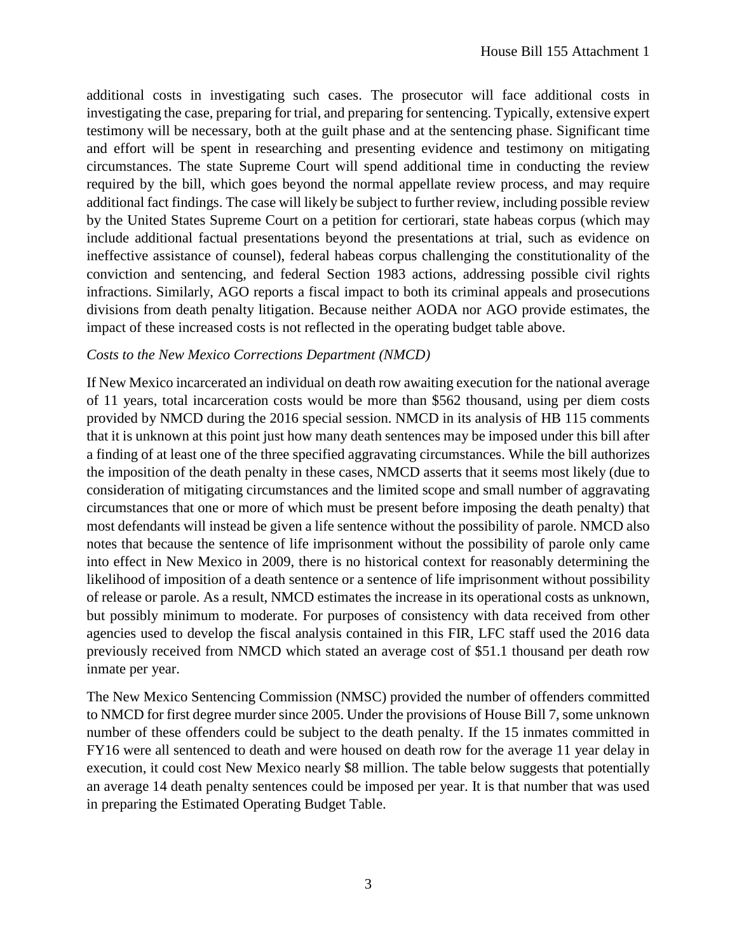additional costs in investigating such cases. The prosecutor will face additional costs in investigating the case, preparing for trial, and preparing for sentencing. Typically, extensive expert testimony will be necessary, both at the guilt phase and at the sentencing phase. Significant time and effort will be spent in researching and presenting evidence and testimony on mitigating circumstances. The state Supreme Court will spend additional time in conducting the review required by the bill, which goes beyond the normal appellate review process, and may require additional fact findings. The case will likely be subject to further review, including possible review by the United States Supreme Court on a petition for certiorari, state habeas corpus (which may include additional factual presentations beyond the presentations at trial, such as evidence on ineffective assistance of counsel), federal habeas corpus challenging the constitutionality of the conviction and sentencing, and federal Section 1983 actions, addressing possible civil rights infractions. Similarly, AGO reports a fiscal impact to both its criminal appeals and prosecutions divisions from death penalty litigation. Because neither AODA nor AGO provide estimates, the impact of these increased costs is not reflected in the operating budget table above.

#### *Costs to the New Mexico Corrections Department (NMCD)*

If New Mexico incarcerated an individual on death row awaiting execution for the national average of 11 years, total incarceration costs would be more than \$562 thousand, using per diem costs provided by NMCD during the 2016 special session. NMCD in its analysis of HB 115 comments that it is unknown at this point just how many death sentences may be imposed under this bill after a finding of at least one of the three specified aggravating circumstances. While the bill authorizes the imposition of the death penalty in these cases, NMCD asserts that it seems most likely (due to consideration of mitigating circumstances and the limited scope and small number of aggravating circumstances that one or more of which must be present before imposing the death penalty) that most defendants will instead be given a life sentence without the possibility of parole. NMCD also notes that because the sentence of life imprisonment without the possibility of parole only came into effect in New Mexico in 2009, there is no historical context for reasonably determining the likelihood of imposition of a death sentence or a sentence of life imprisonment without possibility of release or parole. As a result, NMCD estimates the increase in its operational costs as unknown, but possibly minimum to moderate. For purposes of consistency with data received from other agencies used to develop the fiscal analysis contained in this FIR, LFC staff used the 2016 data previously received from NMCD which stated an average cost of \$51.1 thousand per death row inmate per year.

The New Mexico Sentencing Commission (NMSC) provided the number of offenders committed to NMCD for first degree murder since 2005. Under the provisions of House Bill 7, some unknown number of these offenders could be subject to the death penalty. If the 15 inmates committed in FY16 were all sentenced to death and were housed on death row for the average 11 year delay in execution, it could cost New Mexico nearly \$8 million. The table below suggests that potentially an average 14 death penalty sentences could be imposed per year. It is that number that was used in preparing the Estimated Operating Budget Table.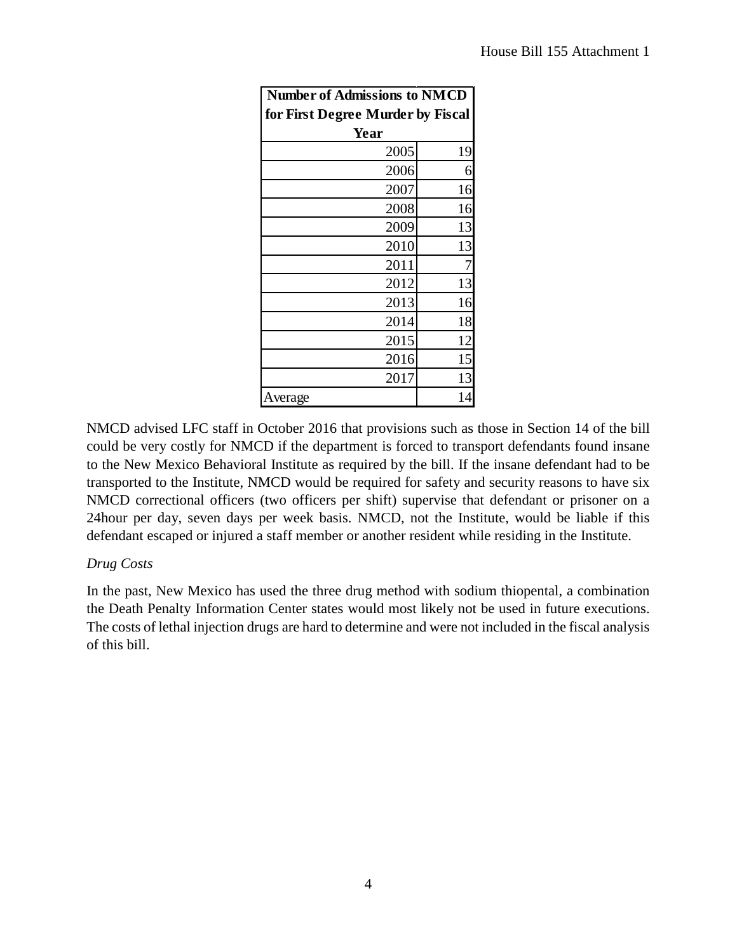| <b>Number of Admissions to NMCD</b> |    |  |  |  |
|-------------------------------------|----|--|--|--|
| for First Degree Murder by Fiscal   |    |  |  |  |
| Year                                |    |  |  |  |
| 2005                                | 19 |  |  |  |
| 2006                                | 6  |  |  |  |
| 2007                                | 16 |  |  |  |
| 2008                                | 16 |  |  |  |
| 2009                                | 13 |  |  |  |
| 2010                                | 13 |  |  |  |
| 2011                                |    |  |  |  |
| 2012                                | 13 |  |  |  |
| 2013                                | 16 |  |  |  |
| 2014                                | 18 |  |  |  |
| 2015                                | 12 |  |  |  |
| 2016                                | 15 |  |  |  |
| 2017                                | 13 |  |  |  |
| Average                             |    |  |  |  |

NMCD advised LFC staff in October 2016 that provisions such as those in Section 14 of the bill could be very costly for NMCD if the department is forced to transport defendants found insane to the New Mexico Behavioral Institute as required by the bill. If the insane defendant had to be transported to the Institute, NMCD would be required for safety and security reasons to have six NMCD correctional officers (two officers per shift) supervise that defendant or prisoner on a 24hour per day, seven days per week basis. NMCD, not the Institute, would be liable if this defendant escaped or injured a staff member or another resident while residing in the Institute.

## *Drug Costs*

In the past, New Mexico has used the three drug method with sodium thiopental, a combination the Death Penalty Information Center states would most likely not be used in future executions. The costs of lethal injection drugs are hard to determine and were not included in the fiscal analysis of this bill.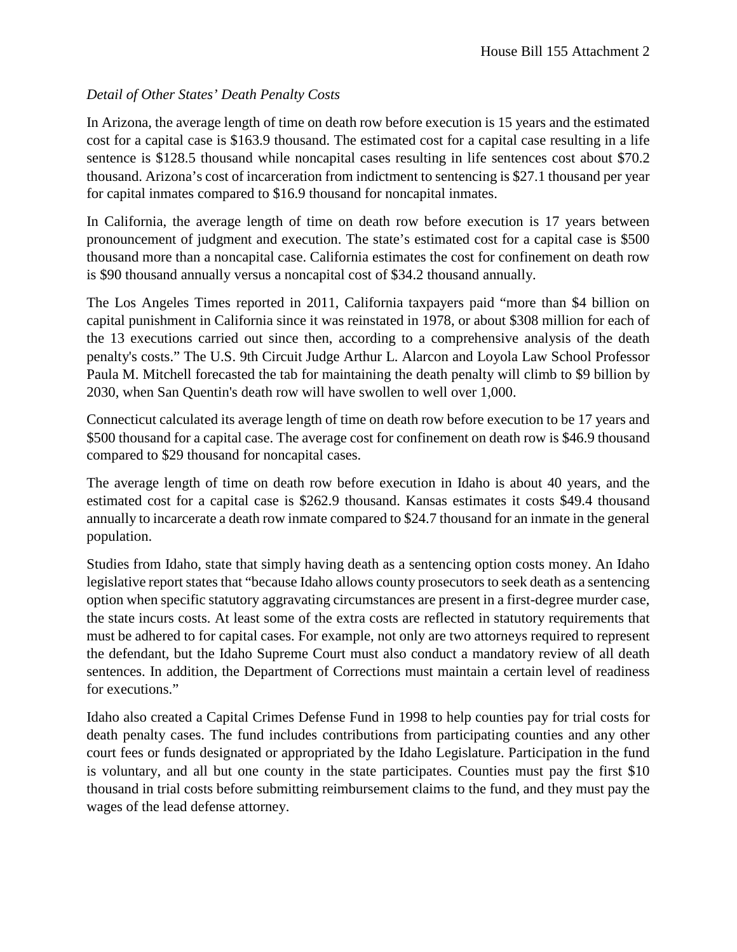# *Detail of Other States' Death Penalty Costs*

In Arizona, the average length of time on death row before execution is 15 years and the estimated cost for a capital case is \$163.9 thousand. The estimated cost for a capital case resulting in a life sentence is \$128.5 thousand while noncapital cases resulting in life sentences cost about \$70.2 thousand. Arizona's cost of incarceration from indictment to sentencing is \$27.1 thousand per year for capital inmates compared to \$16.9 thousand for noncapital inmates.

In California, the average length of time on death row before execution is 17 years between pronouncement of judgment and execution. The state's estimated cost for a capital case is \$500 thousand more than a noncapital case. California estimates the cost for confinement on death row is \$90 thousand annually versus a noncapital cost of \$34.2 thousand annually.

The Los Angeles Times reported in 2011, California taxpayers paid "more than \$4 billion on capital punishment in California since it was reinstated in 1978, or about \$308 million for each of the 13 executions carried out since then, according to a comprehensive analysis of the death penalty's costs." The U.S. 9th Circuit Judge Arthur L. Alarcon and Loyola Law School Professor Paula M. Mitchell forecasted the tab for maintaining the death penalty will climb to \$9 billion by 2030, when San Quentin's death row will have swollen to well over 1,000.

Connecticut calculated its average length of time on death row before execution to be 17 years and \$500 thousand for a capital case. The average cost for confinement on death row is \$46.9 thousand compared to \$29 thousand for noncapital cases.

The average length of time on death row before execution in Idaho is about 40 years, and the estimated cost for a capital case is \$262.9 thousand. Kansas estimates it costs \$49.4 thousand annually to incarcerate a death row inmate compared to \$24.7 thousand for an inmate in the general population.

Studies from Idaho, state that simply having death as a sentencing option costs money. An Idaho legislative report states that "because Idaho allows county prosecutors to seek death as a sentencing option when specific statutory aggravating circumstances are present in a first-degree murder case, the state incurs costs. At least some of the extra costs are reflected in statutory requirements that must be adhered to for capital cases. For example, not only are two attorneys required to represent the defendant, but the Idaho Supreme Court must also conduct a mandatory review of all death sentences. In addition, the Department of Corrections must maintain a certain level of readiness for executions."

Idaho also created a Capital Crimes Defense Fund in 1998 to help counties pay for trial costs for death penalty cases. The fund includes contributions from participating counties and any other court fees or funds designated or appropriated by the Idaho Legislature. Participation in the fund is voluntary, and all but one county in the state participates. Counties must pay the first \$10 thousand in trial costs before submitting reimbursement claims to the fund, and they must pay the wages of the lead defense attorney.